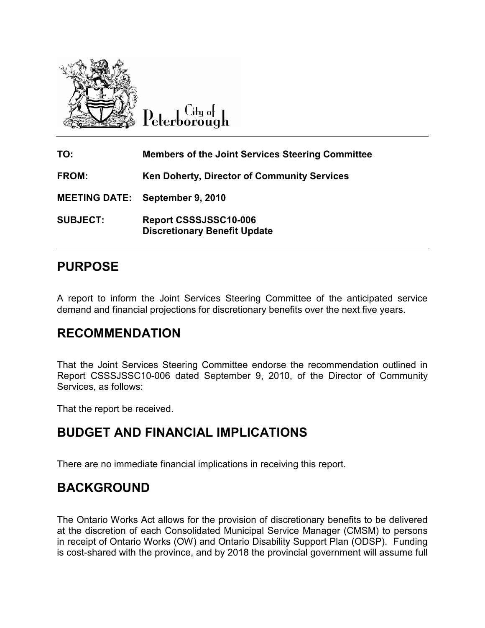

Lity of Peterborough

TO: Members of the Joint Services Steering Committee FROM: Ken Doherty, Director of Community Services MEETING DATE: September 9, 2010 SUBJECT: Report CSSSJSSC10-006 Discretionary Benefit Update

# PURPOSE

A report to inform the Joint Services Steering Committee of the anticipated service demand and financial projections for discretionary benefits over the next five years.

## RECOMMENDATION

That the Joint Services Steering Committee endorse the recommendation outlined in Report CSSSJSSC10-006 dated September 9, 2010, of the Director of Community Services, as follows:

That the report be received.

## BUDGET AND FINANCIAL IMPLICATIONS

There are no immediate financial implications in receiving this report.

# BACKGROUND

The Ontario Works Act allows for the provision of discretionary benefits to be delivered at the discretion of each Consolidated Municipal Service Manager (CMSM) to persons in receipt of Ontario Works (OW) and Ontario Disability Support Plan (ODSP). Funding is cost-shared with the province, and by 2018 the provincial government will assume full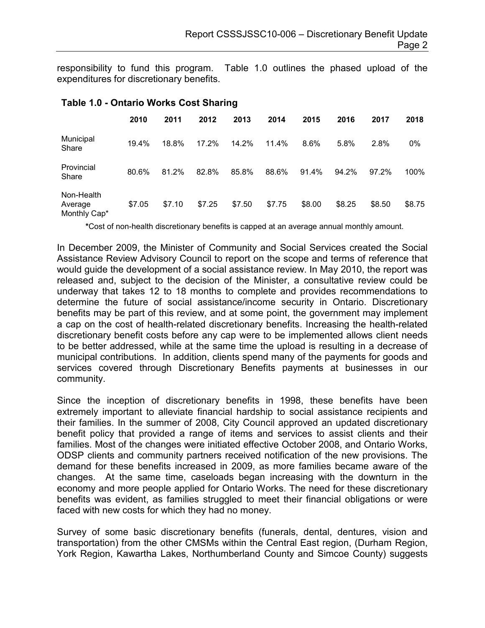responsibility to fund this program. Table 1.0 outlines the phased upload of the expenditures for discretionary benefits.

|                                       | 2010   | 2011   | 2012   | 2013   | 2014   | 2015   | 2016   | 2017   | 2018   |
|---------------------------------------|--------|--------|--------|--------|--------|--------|--------|--------|--------|
| Municipal<br>Share                    | 19.4%  | 18.8%  | 17.2%  | 14.2%  | 11.4%  | 8.6%   | 5.8%   | 2.8%   | 0%     |
| Provincial<br>Share                   | 80.6%  | 81.2%  | 82.8%  | 85.8%  | 88.6%  | 91.4%  | 94.2%  | 97.2%  | 100%   |
| Non-Health<br>Average<br>Monthly Cap* | \$7.05 | \$7.10 | \$7.25 | \$7.50 | \$7.75 | \$8.00 | \$8.25 | \$8.50 | \$8.75 |

### Table 1.0 - Ontario Works Cost Sharing

\*Cost of non-health discretionary benefits is capped at an average annual monthly amount.

In December 2009, the Minister of Community and Social Services created the Social Assistance Review Advisory Council to report on the scope and terms of reference that would guide the development of a social assistance review. In May 2010, the report was released and, subject to the decision of the Minister, a consultative review could be underway that takes 12 to 18 months to complete and provides recommendations to determine the future of social assistance/income security in Ontario. Discretionary benefits may be part of this review, and at some point, the government may implement a cap on the cost of health-related discretionary benefits. Increasing the health-related discretionary benefit costs before any cap were to be implemented allows client needs to be better addressed, while at the same time the upload is resulting in a decrease of municipal contributions. In addition, clients spend many of the payments for goods and services covered through Discretionary Benefits payments at businesses in our community.

Since the inception of discretionary benefits in 1998, these benefits have been extremely important to alleviate financial hardship to social assistance recipients and their families. In the summer of 2008, City Council approved an updated discretionary benefit policy that provided a range of items and services to assist clients and their families. Most of the changes were initiated effective October 2008, and Ontario Works, ODSP clients and community partners received notification of the new provisions. The demand for these benefits increased in 2009, as more families became aware of the changes. At the same time, caseloads began increasing with the downturn in the economy and more people applied for Ontario Works. The need for these discretionary benefits was evident, as families struggled to meet their financial obligations or were faced with new costs for which they had no money.

Survey of some basic discretionary benefits (funerals, dental, dentures, vision and transportation) from the other CMSMs within the Central East region, (Durham Region, York Region, Kawartha Lakes, Northumberland County and Simcoe County) suggests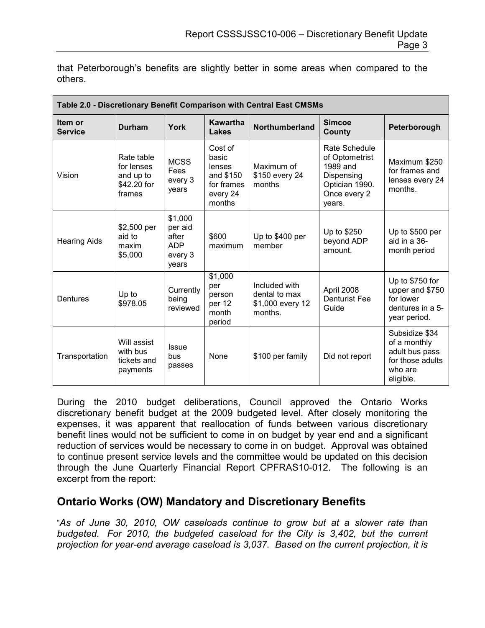that Peterborough's benefits are slightly better in some areas when compared to the others.

| Table 2.0 - Discretionary Benefit Comparison with Central East CMSMs |                                                                |                                                               |                                                                             |                                                               |                                                                                                       |                                                                                              |  |
|----------------------------------------------------------------------|----------------------------------------------------------------|---------------------------------------------------------------|-----------------------------------------------------------------------------|---------------------------------------------------------------|-------------------------------------------------------------------------------------------------------|----------------------------------------------------------------------------------------------|--|
| Item or<br><b>Service</b>                                            | <b>Durham</b>                                                  | York                                                          | Kawartha<br>Lakes                                                           | Northumberland                                                | <b>Simcoe</b><br>County                                                                               | Peterborough                                                                                 |  |
| Vision                                                               | Rate table<br>for lenses<br>and up to<br>\$42.20 for<br>frames | <b>MCSS</b><br>Fees<br>every 3<br>years                       | Cost of<br>basic<br>lenses<br>and \$150<br>for frames<br>every 24<br>months | Maximum of<br>\$150 every 24<br>months                        | Rate Schedule<br>of Optometrist<br>1989 and<br>Dispensing<br>Optician 1990.<br>Once every 2<br>years. | Maximum \$250<br>for frames and<br>lenses every 24<br>months.                                |  |
| <b>Hearing Aids</b>                                                  | \$2,500 per<br>aid to<br>maxim<br>\$5,000                      | \$1,000<br>per aid<br>after<br><b>ADP</b><br>every 3<br>years | \$600<br>maximum                                                            | Up to \$400 per<br>member                                     | Up to \$250<br>beyond ADP<br>amount.                                                                  | Up to \$500 per<br>aid in a 36-<br>month period                                              |  |
| Dentures                                                             | Up to<br>\$978.05                                              | Currently<br>being<br>reviewed                                | \$1,000<br>per<br>person<br>per 12<br>month<br>period                       | Included with<br>dental to max<br>\$1,000 every 12<br>months. | April 2008<br><b>Denturist Fee</b><br>Guide                                                           | Up to \$750 for<br>upper and \$750<br>for lower<br>dentures in a 5-<br>year period.          |  |
| Transportation                                                       | Will assist<br>with bus<br>tickets and<br>payments             | <b>Issue</b><br>bus<br>passes                                 | None                                                                        | \$100 per family                                              | Did not report                                                                                        | Subsidize \$34<br>of a monthly<br>adult bus pass<br>for those adults<br>who are<br>eligible. |  |

During the 2010 budget deliberations, Council approved the Ontario Works discretionary benefit budget at the 2009 budgeted level. After closely monitoring the expenses, it was apparent that reallocation of funds between various discretionary benefit lines would not be sufficient to come in on budget by year end and a significant reduction of services would be necessary to come in on budget. Approval was obtained to continue present service levels and the committee would be updated on this decision through the June Quarterly Financial Report CPFRAS10-012. The following is an excerpt from the report:

### Ontario Works (OW) Mandatory and Discretionary Benefits

"As of June 30, 2010, OW caseloads continue to grow but at a slower rate than budgeted. For 2010, the budgeted caseload for the City is 3,402, but the current projection for year-end average caseload is 3,037. Based on the current projection, it is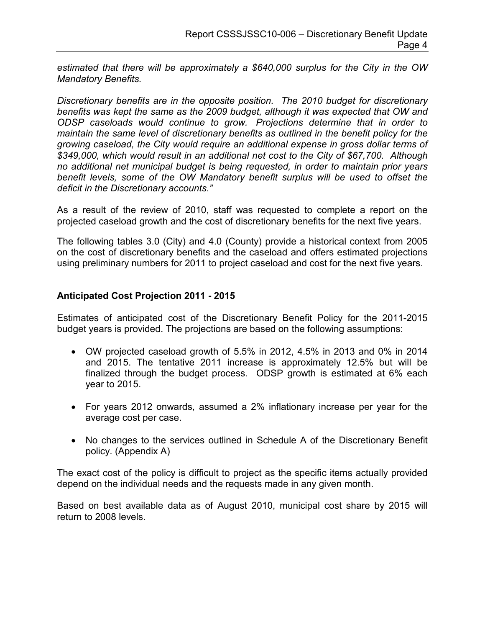estimated that there will be approximately a \$640,000 surplus for the City in the OW Mandatory Benefits.

Discretionary benefits are in the opposite position. The 2010 budget for discretionary benefits was kept the same as the 2009 budget, although it was expected that OW and ODSP caseloads would continue to grow. Projections determine that in order to maintain the same level of discretionary benefits as outlined in the benefit policy for the growing caseload, the City would require an additional expense in gross dollar terms of \$349,000, which would result in an additional net cost to the City of \$67,700. Although no additional net municipal budget is being requested, in order to maintain prior years benefit levels, some of the OW Mandatory benefit surplus will be used to offset the deficit in the Discretionary accounts."

As a result of the review of 2010, staff was requested to complete a report on the projected caseload growth and the cost of discretionary benefits for the next five years.

The following tables 3.0 (City) and 4.0 (County) provide a historical context from 2005 on the cost of discretionary benefits and the caseload and offers estimated projections using preliminary numbers for 2011 to project caseload and cost for the next five years.

### Anticipated Cost Projection 2011 - 2015

Estimates of anticipated cost of the Discretionary Benefit Policy for the 2011-2015 budget years is provided. The projections are based on the following assumptions:

- OW projected caseload growth of 5.5% in 2012, 4.5% in 2013 and 0% in 2014 and 2015. The tentative 2011 increase is approximately 12.5% but will be finalized through the budget process. ODSP growth is estimated at 6% each year to 2015.
- For years 2012 onwards, assumed a 2% inflationary increase per year for the average cost per case.
- No changes to the services outlined in Schedule A of the Discretionary Benefit policy. (Appendix A)

The exact cost of the policy is difficult to project as the specific items actually provided depend on the individual needs and the requests made in any given month.

Based on best available data as of August 2010, municipal cost share by 2015 will return to 2008 levels.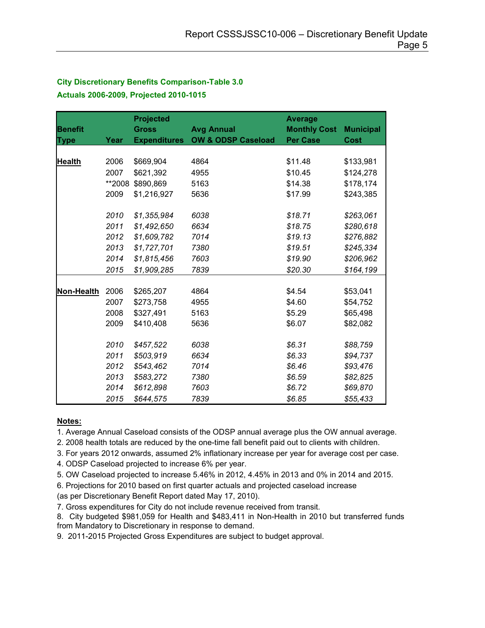### City Discretionary Benefits Comparison-Table 3.0 Actuals 2006-2009, Projected 2010-1015

|                |        | <b>Projected</b>    |                               | <b>Average</b>      |                  |
|----------------|--------|---------------------|-------------------------------|---------------------|------------------|
| <b>Benefit</b> |        | <b>Gross</b>        | <b>Avg Annual</b>             | <b>Monthly Cost</b> | <b>Municipal</b> |
| <b>Type</b>    | Year   | <b>Expenditures</b> | <b>OW &amp; ODSP Caseload</b> | <b>Per Case</b>     | <b>Cost</b>      |
|                |        |                     |                               |                     |                  |
| <b>Health</b>  | 2006   | \$669,904           | 4864                          | \$11.48             | \$133,981        |
|                | 2007   | \$621,392           | 4955                          | \$10.45             | \$124,278        |
|                | **2008 | \$890,869           | 5163                          | \$14.38             | \$178,174        |
|                | 2009   | \$1,216,927         | 5636                          | \$17.99             | \$243,385        |
|                |        |                     |                               |                     |                  |
|                | 2010   | \$1,355,984         | 6038                          | \$18.71             | \$263,061        |
|                | 2011   | \$1,492,650         | 6634                          | \$18.75             | \$280,618        |
|                | 2012   | \$1,609,782         | 7014                          | \$19.13             | \$276,882        |
|                | 2013   | \$1,727,701         | 7380                          | \$19.51             | \$245,334        |
|                | 2014   | \$1,815,456         | 7603                          | \$19.90             | \$206,962        |
|                | 2015   | \$1,909,285         | 7839                          | \$20.30             | \$164,199        |
|                |        |                     |                               |                     |                  |
| Non-Health     | 2006   | \$265,207           | 4864                          | \$4.54              | \$53,041         |
|                | 2007   | \$273,758           | 4955                          | \$4.60              | \$54,752         |
|                | 2008   | \$327,491           | 5163                          | \$5.29              | \$65,498         |
|                | 2009   | \$410,408           | 5636                          | \$6.07              | \$82,082         |
|                |        |                     |                               |                     |                  |
|                | 2010   | \$457,522           | 6038                          | \$6.31              | \$88,759         |
|                | 2011   | \$503,919           | 6634                          | \$6.33              | \$94,737         |
|                | 2012   | \$543,462           | 7014                          | \$6.46              | \$93,476         |
|                | 2013   | \$583,272           | 7380                          | \$6.59              | \$82,825         |
|                | 2014   | \$612,898           | 7603                          | \$6.72              | \$69,870         |
|                | 2015   | \$644,575           | 7839                          | \$6.85              | \$55,433         |

#### Notes:

1. Average Annual Caseload consists of the ODSP annual average plus the OW annual average.

2. 2008 health totals are reduced by the one-time fall benefit paid out to clients with children.

3. For years 2012 onwards, assumed 2% inflationary increase per year for average cost per case.

4. ODSP Caseload projected to increase 6% per year.

5. OW Caseload projected to increase 5.46% in 2012, 4.45% in 2013 and 0% in 2014 and 2015.

6. Projections for 2010 based on first quarter actuals and projected caseload increase

(as per Discretionary Benefit Report dated May 17, 2010).

7. Gross expenditures for City do not include revenue received from transit.

8. City budgeted \$981,059 for Health and \$483,411 in Non-Health in 2010 but transferred funds from Mandatory to Discretionary in response to demand.

9. 2011-2015 Projected Gross Expenditures are subject to budget approval.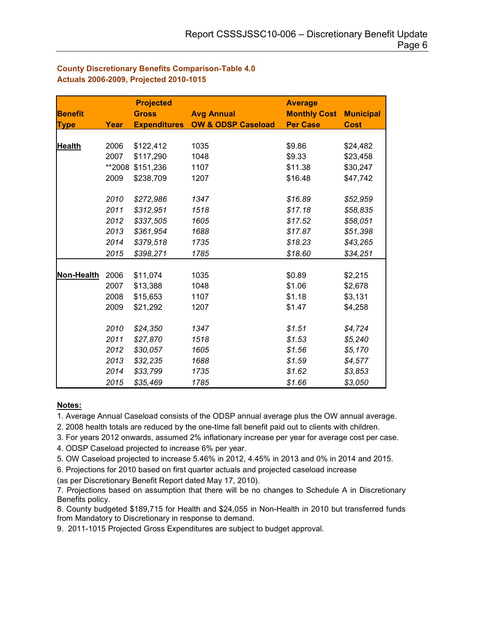#### County Discretionary Benefits Comparison-Table 4.0 Actuals 2006-2009, Projected 2010-1015

|                |        | <b>Projected</b>    |                               | <b>Average</b>      |                  |
|----------------|--------|---------------------|-------------------------------|---------------------|------------------|
| <b>Benefit</b> |        | <b>Gross</b>        | <b>Avg Annual</b>             | <b>Monthly Cost</b> | <b>Municipal</b> |
| <b>Type</b>    | Year   | <b>Expenditures</b> | <b>OW &amp; ODSP Caseload</b> | <b>Per Case</b>     | <b>Cost</b>      |
|                |        |                     |                               |                     |                  |
| <b>Health</b>  | 2006   | \$122,412           | 1035                          | \$9.86              | \$24,482         |
|                | 2007   | \$117,290           | 1048                          | \$9.33              | \$23,458         |
|                | **2008 | \$151,236           | 1107                          | \$11.38             | \$30,247         |
|                | 2009   | \$238,709           | 1207                          | \$16.48             | \$47,742         |
|                |        |                     |                               |                     |                  |
|                | 2010   | \$272,986           | 1347                          | \$16.89             | \$52,959         |
|                | 2011   | \$312,951           | 1518                          | \$17.18             | \$58,835         |
|                | 2012   | \$337,505           | 1605                          | \$17.52             | \$58,051         |
|                | 2013   | \$361,954           | 1688                          | \$17.87             | \$51,398         |
|                | 2014   | \$379,518           | 1735                          | \$18.23             | \$43,265         |
|                | 2015   | \$398,271           | 1785                          | \$18.60             | \$34,251         |
|                |        |                     |                               |                     |                  |
| Non-Health     | 2006   | \$11,074            | 1035                          | \$0.89              | \$2,215          |
|                | 2007   | \$13,388            | 1048                          | \$1.06              | \$2,678          |
|                | 2008   | \$15,653            | 1107                          | \$1.18              | \$3,131          |
|                | 2009   | \$21,292            | 1207                          | \$1.47              | \$4,258          |
|                |        |                     |                               |                     |                  |
|                | 2010   | \$24,350            | 1347                          | \$1.51              | \$4,724          |
|                | 2011   | \$27,870            | 1518                          | \$1.53              | \$5,240          |
|                | 2012   | \$30,057            | 1605                          | \$1.56              | \$5,170          |
|                | 2013   | \$32,235            | 1688                          | \$1.59              | \$4,577          |
|                | 2014   | \$33,799            | 1735                          | \$1.62              | \$3,853          |
|                | 2015   | \$35,469            | 1785                          | \$1.66              | \$3,050          |

#### Notes:

1. Average Annual Caseload consists of the ODSP annual average plus the OW annual average.

2. 2008 health totals are reduced by the one-time fall benefit paid out to clients with children.

3. For years 2012 onwards, assumed 2% inflationary increase per year for average cost per case.

4. ODSP Caseload projected to increase 6% per year.

5. OW Caseload projected to increase 5.46% in 2012, 4.45% in 2013 and 0% in 2014 and 2015.

6. Projections for 2010 based on first quarter actuals and projected caseload increase (as per Discretionary Benefit Report dated May 17, 2010).

7. Projections based on assumption that there will be no changes to Schedule A in Discretionary

Benefits policy. 8. County budgeted \$189,715 for Health and \$24,055 in Non-Health in 2010 but transferred funds from Mandatory to Discretionary in response to demand.

9. 2011-1015 Projected Gross Expenditures are subject to budget approval.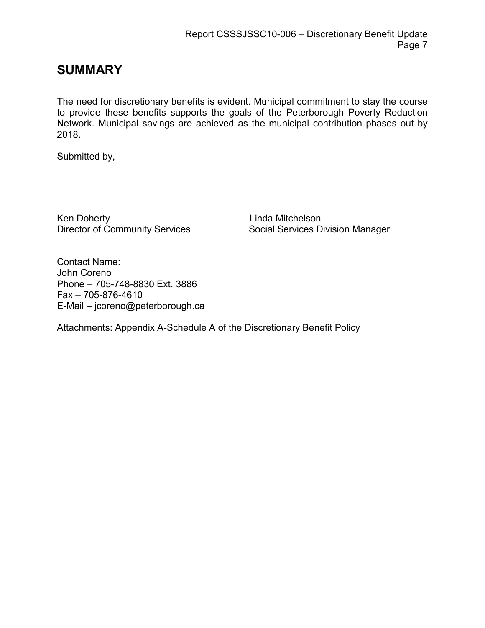## SUMMARY

The need for discretionary benefits is evident. Municipal commitment to stay the course to provide these benefits supports the goals of the Peterborough Poverty Reduction Network. Municipal savings are achieved as the municipal contribution phases out by 2018.

Submitted by,

Ken Doherty<br>
Director of Community Services<br>
Social Services D

Social Services Division Manager

Contact Name: John Coreno Phone – 705-748-8830 Ext. 3886 Fax – 705-876-4610 E-Mail – jcoreno@peterborough.ca

Attachments: Appendix A-Schedule A of the Discretionary Benefit Policy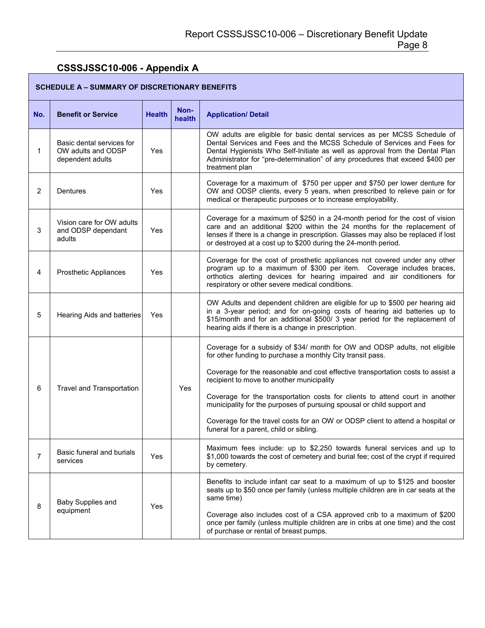### CSSSJSSC10-006 - Appendix A

Г

|                | <b>SCHEDULE A - SUMMARY OF DISCRETIONARY BENEFITS</b>               |               |                |                                                                                                                                                                                                                                                                                                                                        |  |  |
|----------------|---------------------------------------------------------------------|---------------|----------------|----------------------------------------------------------------------------------------------------------------------------------------------------------------------------------------------------------------------------------------------------------------------------------------------------------------------------------------|--|--|
| No.            | <b>Benefit or Service</b>                                           | <b>Health</b> | Non-<br>health | <b>Application/ Detail</b>                                                                                                                                                                                                                                                                                                             |  |  |
| 1              | Basic dental services for<br>OW adults and ODSP<br>dependent adults | Yes           |                | OW adults are eligible for basic dental services as per MCSS Schedule of<br>Dental Services and Fees and the MCSS Schedule of Services and Fees for<br>Dental Hygienists Who Self-Initiate as well as approval from the Dental Plan<br>Administrator for "pre-determination" of any procedures that exceed \$400 per<br>treatment plan |  |  |
| $\overline{2}$ | <b>Dentures</b>                                                     | Yes           |                | Coverage for a maximum of \$750 per upper and \$750 per lower denture for<br>OW and ODSP clients, every 5 years, when prescribed to relieve pain or for<br>medical or therapeutic purposes or to increase employability.                                                                                                               |  |  |
| 3              | Vision care for OW adults<br>and ODSP dependant<br>adults           | Yes           |                | Coverage for a maximum of \$250 in a 24-month period for the cost of vision<br>care and an additional \$200 within the 24 months for the replacement of<br>lenses if there is a change in prescription. Glasses may also be replaced if lost<br>or destroyed at a cost up to \$200 during the 24-month period.                         |  |  |
| 4              | <b>Prosthetic Appliances</b>                                        | Yes           |                | Coverage for the cost of prosthetic appliances not covered under any other<br>program up to a maximum of \$300 per item. Coverage includes braces,<br>orthotics alerting devices for hearing impaired and air conditioners for<br>respiratory or other severe medical conditions.                                                      |  |  |
| 5              | Hearing Aids and batteries                                          | Yes           |                | OW Adults and dependent children are eligible for up to \$500 per hearing aid<br>in a 3-year period; and for on-going costs of hearing aid batteries up to<br>\$15/month and for an additional \$500/ 3 year period for the replacement of<br>hearing aids if there is a change in prescription.                                       |  |  |
| 6              |                                                                     |               |                | Coverage for a subsidy of \$34/ month for OW and ODSP adults, not eligible<br>for other funding to purchase a monthly City transit pass.<br>Coverage for the reasonable and cost effective transportation costs to assist a                                                                                                            |  |  |
|                | Travel and Transportation                                           |               | Yes            | recipient to move to another municipality<br>Coverage for the transportation costs for clients to attend court in another<br>municipality for the purposes of pursuing spousal or child support and<br>Coverage for the travel costs for an OW or ODSP client to attend a hospital or<br>funeral for a parent, child or sibling.       |  |  |
| $\overline{7}$ | Basic funeral and burials<br>services                               | Yes           |                | Maximum fees include: up to \$2,250 towards funeral services and up to<br>\$1,000 towards the cost of cemetery and burial fee; cost of the crypt if required<br>by cemetery.                                                                                                                                                           |  |  |
| 8              | Baby Supplies and<br>equipment                                      | Yes           |                | Benefits to include infant car seat to a maximum of up to \$125 and booster<br>seats up to \$50 once per family (unless multiple children are in car seats at the<br>same time)                                                                                                                                                        |  |  |
|                |                                                                     |               |                | Coverage also includes cost of a CSA approved crib to a maximum of \$200<br>once per family (unless multiple children are in cribs at one time) and the cost<br>of purchase or rental of breast pumps.                                                                                                                                 |  |  |